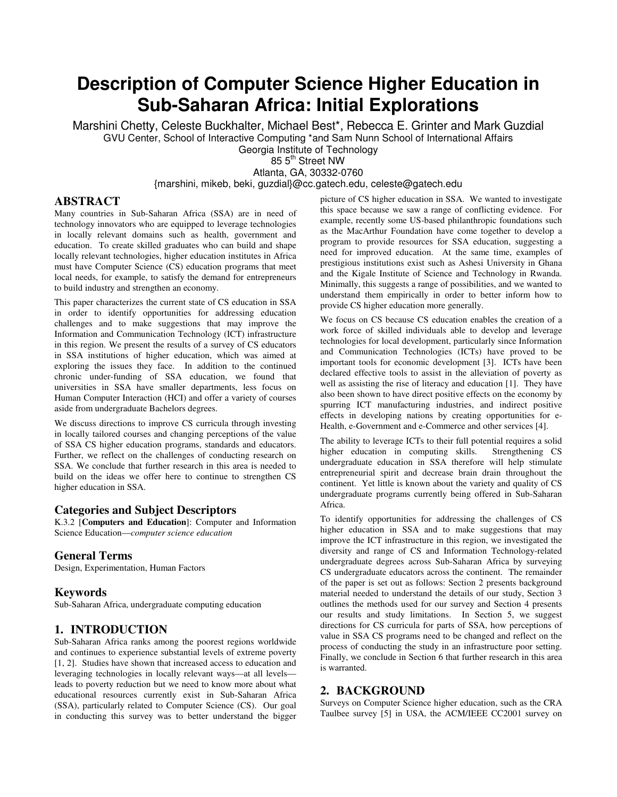# **Description of Computer Science Higher Education in Sub-Saharan Africa: Initial Explorations**

Marshini Chetty, Celeste Buckhalter, Michael Best\*, Rebecca E. Grinter and Mark Guzdial GVU Center, School of Interactive Computing \*and Sam Nunn School of International Affairs

Georgia Institute of Technology

85 5<sup>th</sup> Street NW Atlanta, GA, 30332-0760

{marshini, mikeb, beki, guzdial}@cc.gatech.edu, celeste@gatech.edu

# **ABSTRACT**

Many countries in Sub-Saharan Africa (SSA) are in need of technology innovators who are equipped to leverage technologies in locally relevant domains such as health, government and education. To create skilled graduates who can build and shape locally relevant technologies, higher education institutes in Africa must have Computer Science (CS) education programs that meet local needs, for example, to satisfy the demand for entrepreneurs to build industry and strengthen an economy.

This paper characterizes the current state of CS education in SSA in order to identify opportunities for addressing education challenges and to make suggestions that may improve the Information and Communication Technology (ICT) infrastructure in this region. We present the results of a survey of CS educators in SSA institutions of higher education, which was aimed at exploring the issues they face. In addition to the continued chronic under-funding of SSA education, we found that universities in SSA have smaller departments, less focus on Human Computer Interaction (HCI) and offer a variety of courses aside from undergraduate Bachelors degrees.

We discuss directions to improve CS curricula through investing in locally tailored courses and changing perceptions of the value of SSA CS higher education programs, standards and educators. Further, we reflect on the challenges of conducting research on SSA. We conclude that further research in this area is needed to build on the ideas we offer here to continue to strengthen CS higher education in SSA.

## **Categories and Subject Descriptors**

K.3.2 [**Computers and Education**]: Computer and Information Science Education—*computer science education*

# **General Terms**

Design, Experimentation, Human Factors

## **Keywords**

Sub-Saharan Africa, undergraduate computing education

# **1. INTRODUCTION**

Sub-Saharan Africa ranks among the poorest regions worldwide and continues to experience substantial levels of extreme poverty [1, 2]. Studies have shown that increased access to education and leveraging technologies in locally relevant ways—at all levels leads to poverty reduction but we need to know more about what educational resources currently exist in Sub-Saharan Africa (SSA), particularly related to Computer Science (CS). Our goal in conducting this survey was to better understand the bigger

picture of CS higher education in SSA. We wanted to investigate this space because we saw a range of conflicting evidence. For example, recently some US-based philanthropic foundations such as the MacArthur Foundation have come together to develop a program to provide resources for SSA education, suggesting a need for improved education. At the same time, examples of prestigious institutions exist such as Ashesi University in Ghana and the Kigale Institute of Science and Technology in Rwanda. Minimally, this suggests a range of possibilities, and we wanted to understand them empirically in order to better inform how to provide CS higher education more generally.

We focus on CS because CS education enables the creation of a work force of skilled individuals able to develop and leverage technologies for local development, particularly since Information and Communication Technologies (ICTs) have proved to be important tools for economic development [3]. ICTs have been declared effective tools to assist in the alleviation of poverty as well as assisting the rise of literacy and education [1]. They have also been shown to have direct positive effects on the economy by spurring ICT manufacturing industries, and indirect positive effects in developing nations by creating opportunities for e-Health, e-Government and e-Commerce and other services [4].

The ability to leverage ICTs to their full potential requires a solid higher education in computing skills. Strengthening CS undergraduate education in SSA therefore will help stimulate entrepreneurial spirit and decrease brain drain throughout the continent. Yet little is known about the variety and quality of CS undergraduate programs currently being offered in Sub-Saharan Africa.

To identify opportunities for addressing the challenges of CS higher education in SSA and to make suggestions that may improve the ICT infrastructure in this region, we investigated the diversity and range of CS and Information Technology-related undergraduate degrees across Sub-Saharan Africa by surveying CS undergraduate educators across the continent. The remainder of the paper is set out as follows: Section 2 presents background material needed to understand the details of our study, Section 3 outlines the methods used for our survey and Section 4 presents our results and study limitations. In Section 5, we suggest directions for CS curricula for parts of SSA, how perceptions of value in SSA CS programs need to be changed and reflect on the process of conducting the study in an infrastructure poor setting. Finally, we conclude in Section 6 that further research in this area is warranted.

# **2. BACKGROUND**

Surveys on Computer Science higher education, such as the CRA Taulbee survey [5] in USA, the ACM/IEEE CC2001 survey on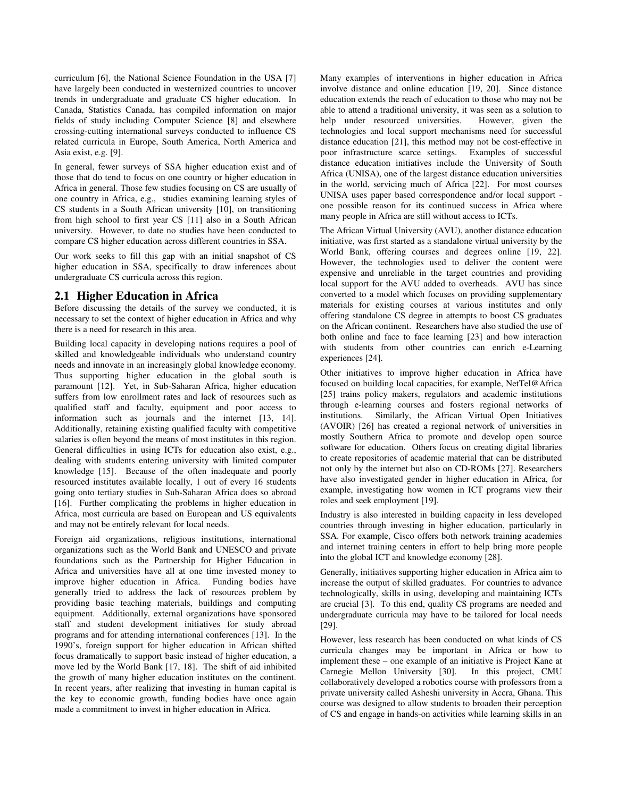curriculum [6], the National Science Foundation in the USA [7] have largely been conducted in westernized countries to uncover trends in undergraduate and graduate CS higher education. In Canada, Statistics Canada, has compiled information on major fields of study including Computer Science [8] and elsewhere crossing-cutting international surveys conducted to influence CS related curricula in Europe, South America, North America and Asia exist, e.g. [9].

In general, fewer surveys of SSA higher education exist and of those that do tend to focus on one country or higher education in Africa in general. Those few studies focusing on CS are usually of one country in Africa, e.g., studies examining learning styles of CS students in a South African university [10], on transitioning from high school to first year CS [11] also in a South African university. However, to date no studies have been conducted to compare CS higher education across different countries in SSA.

Our work seeks to fill this gap with an initial snapshot of CS higher education in SSA, specifically to draw inferences about undergraduate CS curricula across this region.

## **2.1 Higher Education in Africa**

Before discussing the details of the survey we conducted, it is necessary to set the context of higher education in Africa and why there is a need for research in this area.

Building local capacity in developing nations requires a pool of skilled and knowledgeable individuals who understand country needs and innovate in an increasingly global knowledge economy. Thus supporting higher education in the global south is paramount [12]. Yet, in Sub-Saharan Africa, higher education suffers from low enrollment rates and lack of resources such as qualified staff and faculty, equipment and poor access to information such as journals and the internet [13, 14]. Additionally, retaining existing qualified faculty with competitive salaries is often beyond the means of most institutes in this region. General difficulties in using ICTs for education also exist, e.g., dealing with students entering university with limited computer knowledge [15]. Because of the often inadequate and poorly resourced institutes available locally, 1 out of every 16 students going onto tertiary studies in Sub-Saharan Africa does so abroad [16]. Further complicating the problems in higher education in Africa, most curricula are based on European and US equivalents and may not be entirely relevant for local needs.

Foreign aid organizations, religious institutions, international organizations such as the World Bank and UNESCO and private foundations such as the Partnership for Higher Education in Africa and universities have all at one time invested money to improve higher education in Africa. Funding bodies have generally tried to address the lack of resources problem by providing basic teaching materials, buildings and computing equipment. Additionally, external organizations have sponsored staff and student development initiatives for study abroad programs and for attending international conferences [13]. In the 1990's, foreign support for higher education in African shifted focus dramatically to support basic instead of higher education, a move led by the World Bank [17, 18]. The shift of aid inhibited the growth of many higher education institutes on the continent. In recent years, after realizing that investing in human capital is the key to economic growth, funding bodies have once again made a commitment to invest in higher education in Africa.

Many examples of interventions in higher education in Africa involve distance and online education [19, 20]. Since distance education extends the reach of education to those who may not be able to attend a traditional university, it was seen as a solution to help under resourced universities. However, given the technologies and local support mechanisms need for successful distance education [21], this method may not be cost-effective in poor infrastructure scarce settings. Examples of successful distance education initiatives include the University of South Africa (UNISA), one of the largest distance education universities in the world, servicing much of Africa [22]. For most courses UNISA uses paper based correspondence and/or local support one possible reason for its continued success in Africa where many people in Africa are still without access to ICTs.

The African Virtual University (AVU), another distance education initiative, was first started as a standalone virtual university by the World Bank, offering courses and degrees online [19, 22]. However, the technologies used to deliver the content were expensive and unreliable in the target countries and providing local support for the AVU added to overheads. AVU has since converted to a model which focuses on providing supplementary materials for existing courses at various institutes and only offering standalone CS degree in attempts to boost CS graduates on the African continent. Researchers have also studied the use of both online and face to face learning [23] and how interaction with students from other countries can enrich e-Learning experiences [24].

Other initiatives to improve higher education in Africa have focused on building local capacities, for example, NetTel@Africa [25] trains policy makers, regulators and academic institutions through e-learning courses and fosters regional networks of institutions. Similarly, the African Virtual Open Initiatives (AVOIR) [26] has created a regional network of universities in mostly Southern Africa to promote and develop open source software for education. Others focus on creating digital libraries to create repositories of academic material that can be distributed not only by the internet but also on CD-ROMs [27]. Researchers have also investigated gender in higher education in Africa, for example, investigating how women in ICT programs view their roles and seek employment [19].

Industry is also interested in building capacity in less developed countries through investing in higher education, particularly in SSA. For example, Cisco offers both network training academies and internet training centers in effort to help bring more people into the global ICT and knowledge economy [28].

Generally, initiatives supporting higher education in Africa aim to increase the output of skilled graduates. For countries to advance technologically, skills in using, developing and maintaining ICTs are crucial [3]. To this end, quality CS programs are needed and undergraduate curricula may have to be tailored for local needs [29].

However, less research has been conducted on what kinds of CS curricula changes may be important in Africa or how to implement these – one example of an initiative is Project Kane at Carnegie Mellon University [30]. In this project, CMU collaboratively developed a robotics course with professors from a private university called Asheshi university in Accra, Ghana. This course was designed to allow students to broaden their perception of CS and engage in hands-on activities while learning skills in an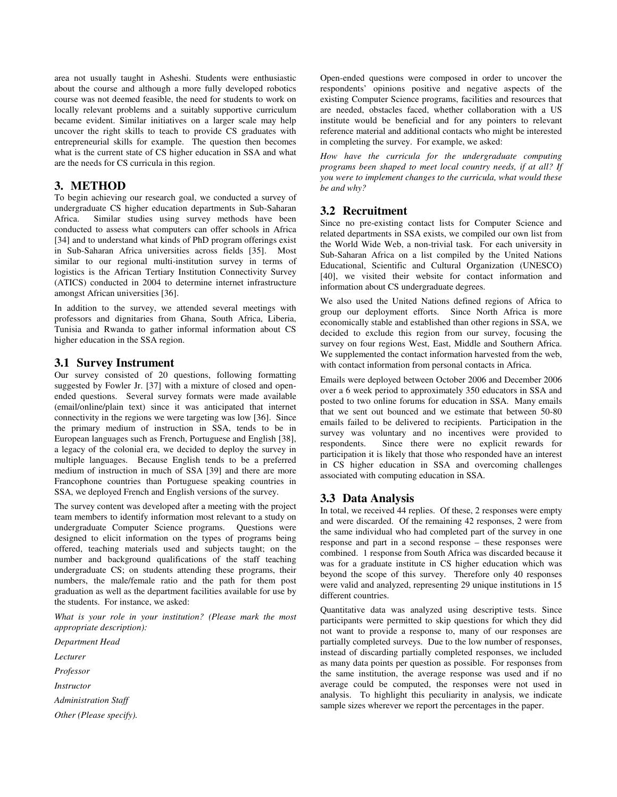area not usually taught in Asheshi. Students were enthusiastic about the course and although a more fully developed robotics course was not deemed feasible, the need for students to work on locally relevant problems and a suitably supportive curriculum became evident. Similar initiatives on a larger scale may help uncover the right skills to teach to provide CS graduates with entrepreneurial skills for example. The question then becomes what is the current state of CS higher education in SSA and what are the needs for CS curricula in this region.

# **3. METHOD**

To begin achieving our research goal, we conducted a survey of undergraduate CS higher education departments in Sub-Saharan Similar studies using survey methods have been conducted to assess what computers can offer schools in Africa [34] and to understand what kinds of PhD program offerings exist in Sub-Saharan Africa universities across fields [35]. Most similar to our regional multi-institution survey in terms of logistics is the African Tertiary Institution Connectivity Survey (ATICS) conducted in 2004 to determine internet infrastructure amongst African universities [36].

In addition to the survey, we attended several meetings with professors and dignitaries from Ghana, South Africa, Liberia, Tunisia and Rwanda to gather informal information about CS higher education in the SSA region.

# **3.1 Survey Instrument**

Our survey consisted of 20 questions, following formatting suggested by Fowler Jr. [37] with a mixture of closed and openended questions. Several survey formats were made available (email/online/plain text) since it was anticipated that internet connectivity in the regions we were targeting was low [36]. Since the primary medium of instruction in SSA, tends to be in European languages such as French, Portuguese and English [38], a legacy of the colonial era, we decided to deploy the survey in multiple languages. Because English tends to be a preferred medium of instruction in much of SSA [39] and there are more Francophone countries than Portuguese speaking countries in SSA, we deployed French and English versions of the survey.

The survey content was developed after a meeting with the project team members to identify information most relevant to a study on undergraduate Computer Science programs. Questions were designed to elicit information on the types of programs being offered, teaching materials used and subjects taught; on the number and background qualifications of the staff teaching undergraduate CS; on students attending these programs, their numbers, the male/female ratio and the path for them post graduation as well as the department facilities available for use by the students. For instance, we asked:

*What is your role in your institution? (Please mark the most appropriate description):* 

*Department Head* 

*Lecturer* 

*Professor* 

*Instructor* 

*Administration Staff* 

*Other (Please specify).* 

Open-ended questions were composed in order to uncover the respondents' opinions positive and negative aspects of the existing Computer Science programs, facilities and resources that are needed, obstacles faced, whether collaboration with a US institute would be beneficial and for any pointers to relevant reference material and additional contacts who might be interested in completing the survey. For example, we asked:

*How have the curricula for the undergraduate computing programs been shaped to meet local country needs, if at all? If you were to implement changes to the curricula, what would these be and why?* 

# **3.2 Recruitment**

Since no pre-existing contact lists for Computer Science and related departments in SSA exists, we compiled our own list from the World Wide Web, a non-trivial task. For each university in Sub-Saharan Africa on a list compiled by the United Nations Educational, Scientific and Cultural Organization (UNESCO) [40], we visited their website for contact information and information about CS undergraduate degrees.

We also used the United Nations defined regions of Africa to group our deployment efforts. Since North Africa is more economically stable and established than other regions in SSA, we decided to exclude this region from our survey, focusing the survey on four regions West, East, Middle and Southern Africa. We supplemented the contact information harvested from the web, with contact information from personal contacts in Africa.

Emails were deployed between October 2006 and December 2006 over a 6 week period to approximately 350 educators in SSA and posted to two online forums for education in SSA. Many emails that we sent out bounced and we estimate that between 50-80 emails failed to be delivered to recipients. Participation in the survey was voluntary and no incentives were provided to respondents. Since there were no explicit rewards for participation it is likely that those who responded have an interest in CS higher education in SSA and overcoming challenges associated with computing education in SSA.

# **3.3 Data Analysis**

In total, we received 44 replies. Of these, 2 responses were empty and were discarded. Of the remaining 42 responses, 2 were from the same individual who had completed part of the survey in one response and part in a second response – these responses were combined. 1 response from South Africa was discarded because it was for a graduate institute in CS higher education which was beyond the scope of this survey. Therefore only 40 responses were valid and analyzed, representing 29 unique institutions in 15 different countries.

Quantitative data was analyzed using descriptive tests. Since participants were permitted to skip questions for which they did not want to provide a response to, many of our responses are partially completed surveys. Due to the low number of responses, instead of discarding partially completed responses, we included as many data points per question as possible. For responses from the same institution, the average response was used and if no average could be computed, the responses were not used in analysis. To highlight this peculiarity in analysis, we indicate sample sizes wherever we report the percentages in the paper.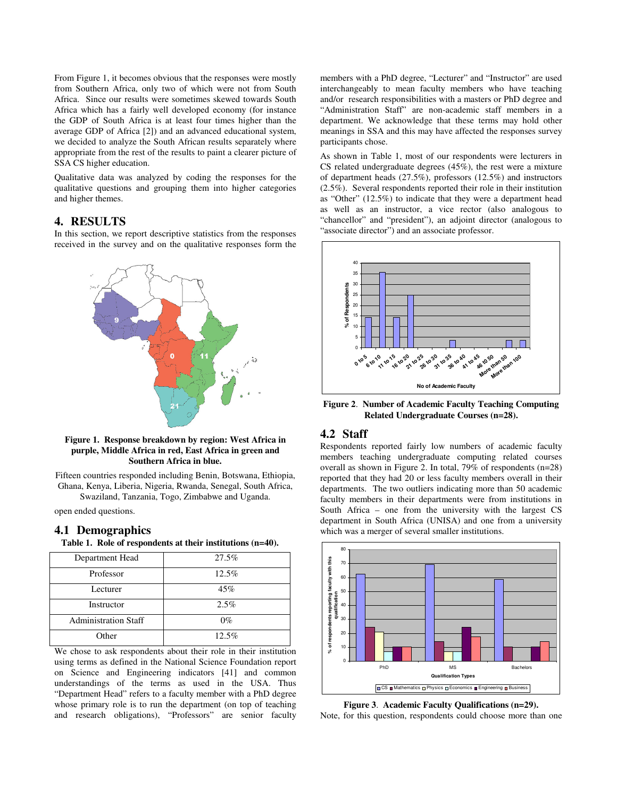From Figure 1, it becomes obvious that the responses were mostly from Southern Africa, only two of which were not from South Africa. Since our results were sometimes skewed towards South Africa which has a fairly well developed economy (for instance the GDP of South Africa is at least four times higher than the average GDP of Africa [2]) and an advanced educational system, we decided to analyze the South African results separately where appropriate from the rest of the results to paint a clearer picture of SSA CS higher education.

Qualitative data was analyzed by coding the responses for the qualitative questions and grouping them into higher categories and higher themes.

## **4. RESULTS**

In this section, we report descriptive statistics from the responses received in the survey and on the qualitative responses form the



**Figure 1. Response breakdown by region: West Africa in purple, Middle Africa in red, East Africa in green and Southern Africa in blue.** 

Fifteen countries responded including Benin, Botswana, Ethiopia, Ghana, Kenya, Liberia, Nigeria, Rwanda, Senegal, South Africa, Swaziland, Tanzania, Togo, Zimbabwe and Uganda.

open ended questions.

#### **4.1 Demographics**

**Table 1. Role of respondents at their institutions (n=40).** 

| Department Head             | 27.5% |
|-----------------------------|-------|
| Professor                   | 12.5% |
| Lecturer                    | 45%   |
| Instructor                  | 2.5%  |
| <b>Administration Staff</b> | $0\%$ |
| Other                       | 12.5% |

We chose to ask respondents about their role in their institution using terms as defined in the National Science Foundation report on Science and Engineering indicators [41] and common understandings of the terms as used in the USA. Thus "Department Head" refers to a faculty member with a PhD degree whose primary role is to run the department (on top of teaching and research obligations), "Professors" are senior faculty

members with a PhD degree, "Lecturer" and "Instructor" are used interchangeably to mean faculty members who have teaching and/or research responsibilities with a masters or PhD degree and "Administration Staff" are non-academic staff members in a department. We acknowledge that these terms may hold other meanings in SSA and this may have affected the responses survey participants chose.

As shown in Table 1, most of our respondents were lecturers in CS related undergraduate degrees (45%), the rest were a mixture of department heads (27.5%), professors (12.5%) and instructors (2.5%). Several respondents reported their role in their institution as "Other" (12.5%) to indicate that they were a department head as well as an instructor, a vice rector (also analogous to "chancellor" and "president"), an adjoint director (analogous to "associate director") and an associate professor.



**Figure 2**. **Number of Academic Faculty Teaching Computing Related Undergraduate Courses (n=28).**

#### **4.2 Staff**

Respondents reported fairly low numbers of academic faculty members teaching undergraduate computing related courses overall as shown in Figure 2. In total, 79% of respondents (n=28) reported that they had 20 or less faculty members overall in their departments. The two outliers indicating more than 50 academic faculty members in their departments were from institutions in South Africa – one from the university with the largest CS department in South Africa (UNISA) and one from a university which was a merger of several smaller institutions.



**Figure 3**. **Academic Faculty Qualifications (n=29).** 

Note, for this question, respondents could choose more than one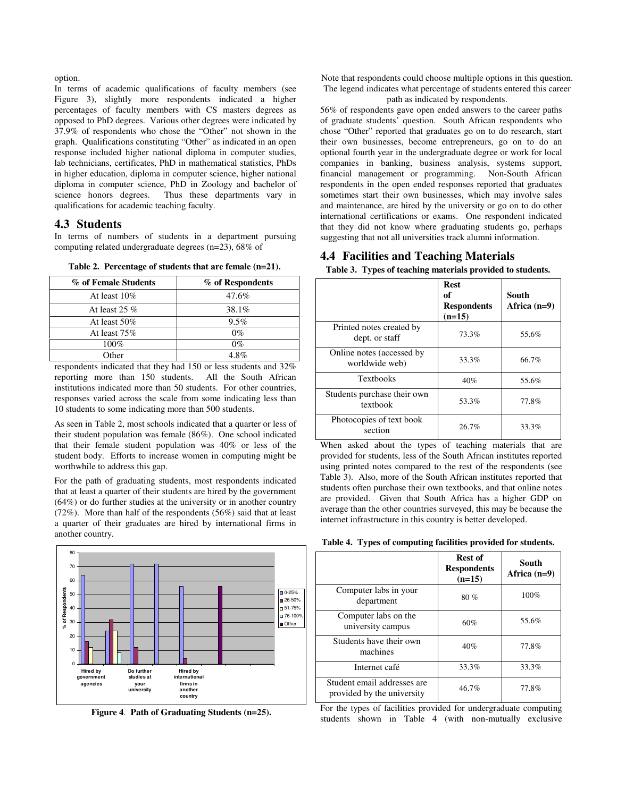option.

In terms of academic qualifications of faculty members (see Figure 3), slightly more respondents indicated a higher percentages of faculty members with CS masters degrees as opposed to PhD degrees. Various other degrees were indicated by 37.9% of respondents who chose the "Other" not shown in the graph. Qualifications constituting "Other" as indicated in an open response included higher national diploma in computer studies, lab technicians, certificates, PhD in mathematical statistics, PhDs in higher education, diploma in computer science, higher national diploma in computer science, PhD in Zoology and bachelor of science honors degrees. Thus these departments vary in qualifications for academic teaching faculty.

### **4.3 Students**

In terms of numbers of students in a department pursuing computing related undergraduate degrees (n=23), 68% of

| % of Female Students | % of Respondents |
|----------------------|------------------|
| At least $10\%$      | 47.6%            |
| At least 25 $%$      | 38.1%            |
| At least $50\%$      | $9.5\%$          |
| At least 75%         | $0\%$            |
| $100\%$              | $0\%$            |
| $\cap$ ther          | 1 R %            |

**Table 2. Percentage of students that are female (n=21).** 

respondents indicated that they had 150 or less students and 32% reporting more than 150 students. All the South African institutions indicated more than 50 students. For other countries, responses varied across the scale from some indicating less than 10 students to some indicating more than 500 students.

As seen in Table 2, most schools indicated that a quarter or less of their student population was female (86%). One school indicated that their female student population was 40% or less of the student body. Efforts to increase women in computing might be worthwhile to address this gap.

For the path of graduating students, most respondents indicated that at least a quarter of their students are hired by the government (64%) or do further studies at the university or in another country (72%). More than half of the respondents (56%) said that at least a quarter of their graduates are hired by international firms in another country.



**Figure 4**. **Path of Graduating Students (n=25).** 

Note that respondents could choose multiple options in this question. The legend indicates what percentage of students entered this career path as indicated by respondents.

56% of respondents gave open ended answers to the career paths of graduate students' question. South African respondents who chose "Other" reported that graduates go on to do research, start their own businesses, become entrepreneurs, go on to do an optional fourth year in the undergraduate degree or work for local companies in banking, business analysis, systems support, financial management or programming. Non-South African respondents in the open ended responses reported that graduates sometimes start their own businesses, which may involve sales and maintenance, are hired by the university or go on to do other international certifications or exams. One respondent indicated that they did not know where graduating students go, perhaps suggesting that not all universities track alumni information.

## **4.4 Facilities and Teaching Materials**

**Table 3. Types of teaching materials provided to students.** 

|                                             | <b>Rest</b><br>of<br><b>Respondents</b><br>$(n=15)$ | South<br>Africa $(n=9)$ |
|---------------------------------------------|-----------------------------------------------------|-------------------------|
| Printed notes created by<br>dept. or staff  | 73.3%                                               | 55.6%                   |
| Online notes (accessed by<br>worldwide web) | 33.3%                                               | 66.7%                   |
| <b>Textbooks</b>                            | 40%                                                 | 55.6%                   |
| Students purchase their own<br>textbook     | 53.3%                                               | 77.8%                   |
| Photocopies of text book<br>section         | 26.7%                                               | 33.3%                   |

When asked about the types of teaching materials that are provided for students, less of the South African institutes reported using printed notes compared to the rest of the respondents (see Table 3). Also, more of the South African institutes reported that students often purchase their own textbooks, and that online notes are provided. Given that South Africa has a higher GDP on average than the other countries surveyed, this may be because the internet infrastructure in this country is better developed.

|  |  |  |  |  | Table 4. Types of computing facilities provided for students. |
|--|--|--|--|--|---------------------------------------------------------------|
|--|--|--|--|--|---------------------------------------------------------------|

|                                                           | Rest of<br><b>Respondents</b><br>$(n=15)$ | South<br>Africa $(n=9)$ |
|-----------------------------------------------------------|-------------------------------------------|-------------------------|
| Computer labs in your<br>department                       | 80%                                       | 100%                    |
| Computer labs on the<br>university campus                 | 60%                                       | 55.6%                   |
| Students have their own<br>machines                       | 40%                                       | 77.8%                   |
| Internet café                                             | 33.3%                                     | 33.3%                   |
| Student email addresses are<br>provided by the university | 46.7%                                     | 77.8%                   |

For the types of facilities provided for undergraduate computing students shown in Table 4 (with non-mutually exclusive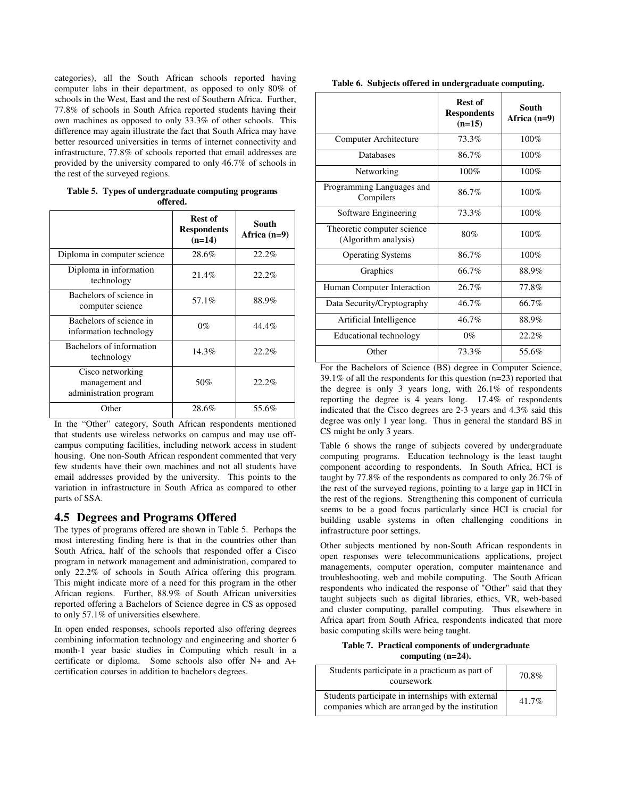categories), all the South African schools reported having computer labs in their department, as opposed to only 80% of schools in the West, East and the rest of Southern Africa. Further, 77.8% of schools in South Africa reported students having their own machines as opposed to only 33.3% of other schools. This difference may again illustrate the fact that South Africa may have better resourced universities in terms of internet connectivity and infrastructure, 77.8% of schools reported that email addresses are provided by the university compared to only 46.7% of schools in the rest of the surveyed regions.

**Table 5. Types of undergraduate computing programs offered.** 

|                                                              | Rest of<br><b>Respondents</b><br>$(n=14)$ | South<br>Africa $(n=9)$ |
|--------------------------------------------------------------|-------------------------------------------|-------------------------|
| Diploma in computer science                                  | 28.6%                                     | 22.2%                   |
| Diploma in information<br>technology                         | 21.4%                                     | 22.2%                   |
| Bachelors of science in<br>computer science                  | 57.1%                                     | 88.9%                   |
| Bachelors of science in<br>information technology            | $0\%$                                     | 44.4%                   |
| Bachelors of information<br>technology                       | 14.3%                                     | 22.2%                   |
| Cisco networking<br>management and<br>administration program | 50%                                       | 22.2%                   |
| Other                                                        | 28.6%                                     | 55.6%                   |

In the "Other" category, South African respondents mentioned that students use wireless networks on campus and may use offcampus computing facilities, including network access in student housing. One non-South African respondent commented that very few students have their own machines and not all students have email addresses provided by the university. This points to the variation in infrastructure in South Africa as compared to other parts of SSA.

## **4.5 Degrees and Programs Offered**

The types of programs offered are shown in Table 5. Perhaps the most interesting finding here is that in the countries other than South Africa, half of the schools that responded offer a Cisco program in network management and administration, compared to only 22.2% of schools in South Africa offering this program. This might indicate more of a need for this program in the other African regions. Further, 88.9% of South African universities reported offering a Bachelors of Science degree in CS as opposed to only 57.1% of universities elsewhere.

In open ended responses, schools reported also offering degrees combining information technology and engineering and shorter 6 month-1 year basic studies in Computing which result in a certificate or diploma. Some schools also offer N+ and A+ certification courses in addition to bachelors degrees.

|                                                    | Rest of<br><b>Respondents</b><br>$(n=15)$ | South<br>Africa $(n=9)$ |
|----------------------------------------------------|-------------------------------------------|-------------------------|
| Computer Architecture                              | 73.3%                                     | 100%                    |
| Databases                                          | 86.7%                                     | 100%                    |
| Networking                                         | 100%                                      | 100%                    |
| Programming Languages and<br>Compilers             | 86.7%                                     | 100%                    |
| Software Engineering                               | 73.3%                                     | 100%                    |
| Theoretic computer science<br>(Algorithm analysis) | 80%                                       | 100%                    |
| <b>Operating Systems</b>                           | 86.7%                                     | 100%                    |
| Graphics                                           | 66.7%                                     | 88.9%                   |
| Human Computer Interaction                         | 26.7%                                     | 77.8%                   |
| Data Security/Cryptography                         | 46.7%                                     | 66.7%                   |
| Artificial Intelligence                            | 46.7%                                     | 88.9%                   |
| Educational technology                             | $0\%$                                     | $22.2\%$                |
| Other                                              | 73.3%                                     | 55.6%                   |

**Table 6. Subjects offered in undergraduate computing.** 

For the Bachelors of Science (BS) degree in Computer Science, 39.1% of all the respondents for this question (n=23) reported that the degree is only 3 years long, with 26.1% of respondents reporting the degree is 4 years long. 17.4% of respondents indicated that the Cisco degrees are 2-3 years and 4.3% said this degree was only 1 year long. Thus in general the standard BS in CS might be only 3 years.

Table 6 shows the range of subjects covered by undergraduate computing programs. Education technology is the least taught component according to respondents. In South Africa, HCI is taught by 77.8% of the respondents as compared to only 26.7% of the rest of the surveyed regions, pointing to a large gap in HCI in the rest of the regions. Strengthening this component of curricula seems to be a good focus particularly since HCI is crucial for building usable systems in often challenging conditions in infrastructure poor settings.

Other subjects mentioned by non-South African respondents in open responses were telecommunications applications, project managements, computer operation, computer maintenance and troubleshooting, web and mobile computing. The South African respondents who indicated the response of "Other" said that they taught subjects such as digital libraries, ethics, VR, web-based and cluster computing, parallel computing. Thus elsewhere in Africa apart from South Africa, respondents indicated that more basic computing skills were being taught.

#### **Table 7. Practical components of undergraduate computing (n=24).**

| Students participate in a practicum as part of<br>coursework                                         | 70.8% |
|------------------------------------------------------------------------------------------------------|-------|
| Students participate in internships with external<br>companies which are arranged by the institution | 41.7% |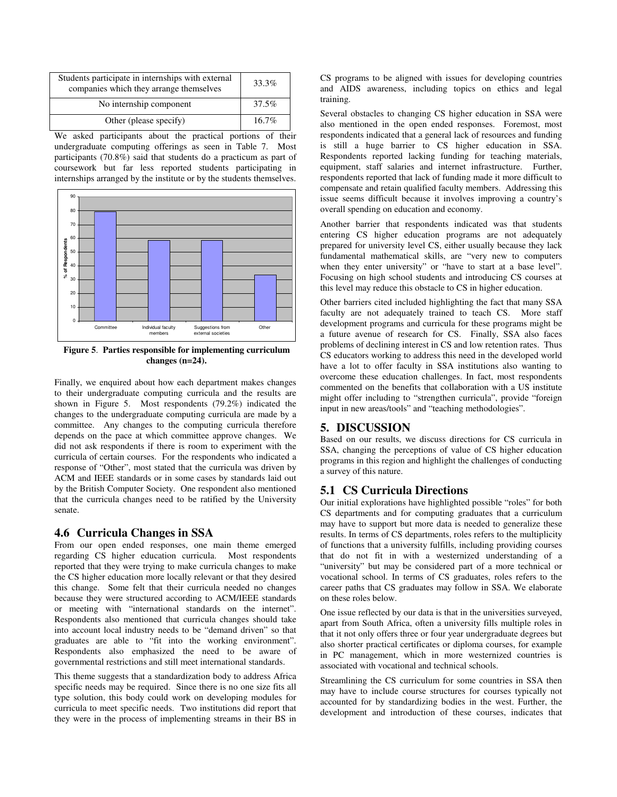| Students participate in internships with external<br>companies which they arrange themselves | 33.3%    |
|----------------------------------------------------------------------------------------------|----------|
| No internship component                                                                      | 37.5%    |
| Other (please specify)                                                                       | $16.7\%$ |

We asked participants about the practical portions of their undergraduate computing offerings as seen in Table 7. Most participants (70.8%) said that students do a practicum as part of coursework but far less reported students participating in internships arranged by the institute or by the students themselves.



**Figure 5**. **Parties responsible for implementing curriculum changes (n=24).** 

Finally, we enquired about how each department makes changes to their undergraduate computing curricula and the results are shown in Figure 5. Most respondents (79.2%) indicated the changes to the undergraduate computing curricula are made by a committee. Any changes to the computing curricula therefore depends on the pace at which committee approve changes. We did not ask respondents if there is room to experiment with the curricula of certain courses. For the respondents who indicated a response of "Other", most stated that the curricula was driven by ACM and IEEE standards or in some cases by standards laid out by the British Computer Society. One respondent also mentioned that the curricula changes need to be ratified by the University senate.

## **4.6 Curricula Changes in SSA**

From our open ended responses, one main theme emerged regarding CS higher education curricula. Most respondents reported that they were trying to make curricula changes to make the CS higher education more locally relevant or that they desired this change. Some felt that their curricula needed no changes because they were structured according to ACM/IEEE standards or meeting with "international standards on the internet". Respondents also mentioned that curricula changes should take into account local industry needs to be "demand driven" so that graduates are able to "fit into the working environment". Respondents also emphasized the need to be aware of governmental restrictions and still meet international standards.

This theme suggests that a standardization body to address Africa specific needs may be required. Since there is no one size fits all type solution, this body could work on developing modules for curricula to meet specific needs. Two institutions did report that they were in the process of implementing streams in their BS in CS programs to be aligned with issues for developing countries and AIDS awareness, including topics on ethics and legal training.

Several obstacles to changing CS higher education in SSA were also mentioned in the open ended responses. Foremost, most respondents indicated that a general lack of resources and funding is still a huge barrier to CS higher education in SSA. Respondents reported lacking funding for teaching materials, equipment, staff salaries and internet infrastructure. Further, respondents reported that lack of funding made it more difficult to compensate and retain qualified faculty members. Addressing this issue seems difficult because it involves improving a country's overall spending on education and economy.

Another barrier that respondents indicated was that students entering CS higher education programs are not adequately prepared for university level CS, either usually because they lack fundamental mathematical skills, are "very new to computers when they enter university" or "have to start at a base level". Focusing on high school students and introducing CS courses at this level may reduce this obstacle to CS in higher education.

Other barriers cited included highlighting the fact that many SSA faculty are not adequately trained to teach CS. More staff development programs and curricula for these programs might be a future avenue of research for CS. Finally, SSA also faces problems of declining interest in CS and low retention rates. Thus CS educators working to address this need in the developed world have a lot to offer faculty in SSA institutions also wanting to overcome these education challenges. In fact, most respondents commented on the benefits that collaboration with a US institute might offer including to "strengthen curricula", provide "foreign input in new areas/tools" and "teaching methodologies".

## **5. DISCUSSION**

Based on our results, we discuss directions for CS curricula in SSA, changing the perceptions of value of CS higher education programs in this region and highlight the challenges of conducting a survey of this nature.

# **5.1 CS Curricula Directions**

Our initial explorations have highlighted possible "roles" for both CS departments and for computing graduates that a curriculum may have to support but more data is needed to generalize these results. In terms of CS departments, roles refers to the multiplicity of functions that a university fulfills, including providing courses that do not fit in with a westernized understanding of a "university" but may be considered part of a more technical or vocational school. In terms of CS graduates, roles refers to the career paths that CS graduates may follow in SSA. We elaborate on these roles below.

One issue reflected by our data is that in the universities surveyed, apart from South Africa, often a university fills multiple roles in that it not only offers three or four year undergraduate degrees but also shorter practical certificates or diploma courses, for example in PC management, which in more westernized countries is associated with vocational and technical schools.

Streamlining the CS curriculum for some countries in SSA then may have to include course structures for courses typically not accounted for by standardizing bodies in the west. Further, the development and introduction of these courses, indicates that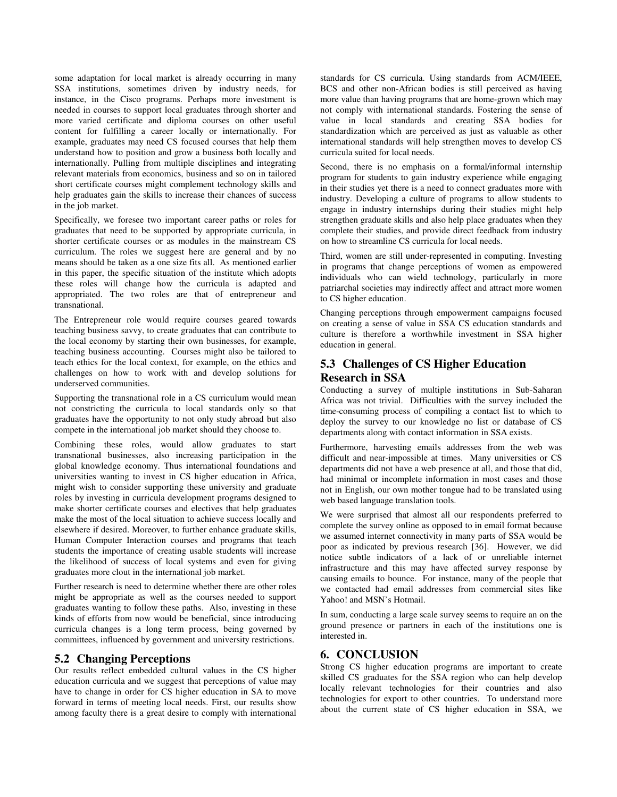some adaptation for local market is already occurring in many SSA institutions, sometimes driven by industry needs, for instance, in the Cisco programs. Perhaps more investment is needed in courses to support local graduates through shorter and more varied certificate and diploma courses on other useful content for fulfilling a career locally or internationally. For example, graduates may need CS focused courses that help them understand how to position and grow a business both locally and internationally. Pulling from multiple disciplines and integrating relevant materials from economics, business and so on in tailored short certificate courses might complement technology skills and help graduates gain the skills to increase their chances of success in the job market.

Specifically, we foresee two important career paths or roles for graduates that need to be supported by appropriate curricula, in shorter certificate courses or as modules in the mainstream CS curriculum. The roles we suggest here are general and by no means should be taken as a one size fits all. As mentioned earlier in this paper, the specific situation of the institute which adopts these roles will change how the curricula is adapted and appropriated. The two roles are that of entrepreneur and transnational.

The Entrepreneur role would require courses geared towards teaching business savvy, to create graduates that can contribute to the local economy by starting their own businesses, for example, teaching business accounting. Courses might also be tailored to teach ethics for the local context, for example, on the ethics and challenges on how to work with and develop solutions for underserved communities.

Supporting the transnational role in a CS curriculum would mean not constricting the curricula to local standards only so that graduates have the opportunity to not only study abroad but also compete in the international job market should they choose to.

Combining these roles, would allow graduates to start transnational businesses, also increasing participation in the global knowledge economy. Thus international foundations and universities wanting to invest in CS higher education in Africa, might wish to consider supporting these university and graduate roles by investing in curricula development programs designed to make shorter certificate courses and electives that help graduates make the most of the local situation to achieve success locally and elsewhere if desired. Moreover, to further enhance graduate skills, Human Computer Interaction courses and programs that teach students the importance of creating usable students will increase the likelihood of success of local systems and even for giving graduates more clout in the international job market.

Further research is need to determine whether there are other roles might be appropriate as well as the courses needed to support graduates wanting to follow these paths. Also, investing in these kinds of efforts from now would be beneficial, since introducing curricula changes is a long term process, being governed by committees, influenced by government and university restrictions.

## **5.2 Changing Perceptions**

Our results reflect embedded cultural values in the CS higher education curricula and we suggest that perceptions of value may have to change in order for CS higher education in SA to move forward in terms of meeting local needs. First, our results show among faculty there is a great desire to comply with international

standards for CS curricula. Using standards from ACM/IEEE, BCS and other non-African bodies is still perceived as having more value than having programs that are home-grown which may not comply with international standards. Fostering the sense of value in local standards and creating SSA bodies for standardization which are perceived as just as valuable as other international standards will help strengthen moves to develop CS curricula suited for local needs.

Second, there is no emphasis on a formal/informal internship program for students to gain industry experience while engaging in their studies yet there is a need to connect graduates more with industry. Developing a culture of programs to allow students to engage in industry internships during their studies might help strengthen graduate skills and also help place graduates when they complete their studies, and provide direct feedback from industry on how to streamline CS curricula for local needs.

Third, women are still under-represented in computing. Investing in programs that change perceptions of women as empowered individuals who can wield technology, particularly in more patriarchal societies may indirectly affect and attract more women to CS higher education.

Changing perceptions through empowerment campaigns focused on creating a sense of value in SSA CS education standards and culture is therefore a worthwhile investment in SSA higher education in general.

# **5.3 Challenges of CS Higher Education Research in SSA**

Conducting a survey of multiple institutions in Sub-Saharan Africa was not trivial. Difficulties with the survey included the time-consuming process of compiling a contact list to which to deploy the survey to our knowledge no list or database of CS departments along with contact information in SSA exists.

Furthermore, harvesting emails addresses from the web was difficult and near-impossible at times. Many universities or CS departments did not have a web presence at all, and those that did, had minimal or incomplete information in most cases and those not in English, our own mother tongue had to be translated using web based language translation tools.

We were surprised that almost all our respondents preferred to complete the survey online as opposed to in email format because we assumed internet connectivity in many parts of SSA would be poor as indicated by previous research [36]. However, we did notice subtle indicators of a lack of or unreliable internet infrastructure and this may have affected survey response by causing emails to bounce. For instance, many of the people that we contacted had email addresses from commercial sites like Yahoo! and MSN's Hotmail.

In sum, conducting a large scale survey seems to require an on the ground presence or partners in each of the institutions one is interested in.

## **6. CONCLUSION**

Strong CS higher education programs are important to create skilled CS graduates for the SSA region who can help develop locally relevant technologies for their countries and also technologies for export to other countries. To understand more about the current state of CS higher education in SSA, we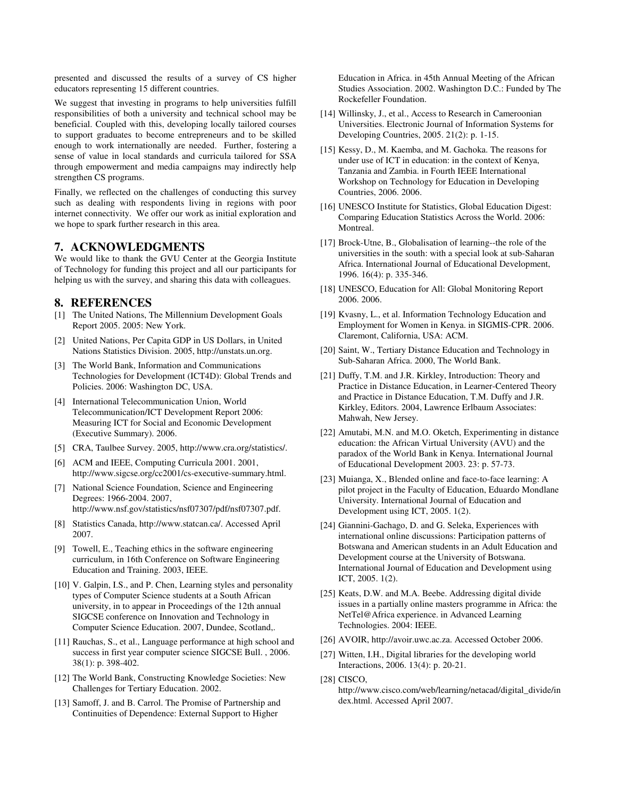presented and discussed the results of a survey of CS higher educators representing 15 different countries.

We suggest that investing in programs to help universities fulfill responsibilities of both a university and technical school may be beneficial. Coupled with this, developing locally tailored courses to support graduates to become entrepreneurs and to be skilled enough to work internationally are needed. Further, fostering a sense of value in local standards and curricula tailored for SSA through empowerment and media campaigns may indirectly help strengthen CS programs.

Finally, we reflected on the challenges of conducting this survey such as dealing with respondents living in regions with poor internet connectivity. We offer our work as initial exploration and we hope to spark further research in this area.

## **7. ACKNOWLEDGMENTS**

We would like to thank the GVU Center at the Georgia Institute of Technology for funding this project and all our participants for helping us with the survey, and sharing this data with colleagues.

#### **8. REFERENCES**

- [1] The United Nations, The Millennium Development Goals Report 2005. 2005: New York.
- [2] United Nations, Per Capita GDP in US Dollars, in United Nations Statistics Division. 2005, http://unstats.un.org.
- [3] The World Bank, Information and Communications Technologies for Development (ICT4D): Global Trends and Policies. 2006: Washington DC, USA.
- [4] International Telecommunication Union, World Telecommunication/ICT Development Report 2006: Measuring ICT for Social and Economic Development (Executive Summary). 2006.
- [5] CRA, Taulbee Survey. 2005, http://www.cra.org/statistics/.
- [6] ACM and IEEE, Computing Curricula 2001. 2001, http://www.sigcse.org/cc2001/cs-executive-summary.html.
- [7] National Science Foundation, Science and Engineering Degrees: 1966-2004. 2007, http://www.nsf.gov/statistics/nsf07307/pdf/nsf07307.pdf.
- [8] Statistics Canada, http://www.statcan.ca/. Accessed April 2007.
- [9] Towell, E., Teaching ethics in the software engineering curriculum, in 16th Conference on Software Engineering Education and Training. 2003, IEEE.
- [10] V. Galpin, I.S., and P. Chen, Learning styles and personality types of Computer Science students at a South African university, in to appear in Proceedings of the 12th annual SIGCSE conference on Innovation and Technology in Computer Science Education. 2007, Dundee, Scotland,.
- [11] Rauchas, S., et al., Language performance at high school and success in first year computer science SIGCSE Bull. , 2006. 38(1): p. 398-402.
- [12] The World Bank, Constructing Knowledge Societies: New Challenges for Tertiary Education. 2002.
- [13] Samoff, J. and B. Carrol. The Promise of Partnership and Continuities of Dependence: External Support to Higher

Education in Africa. in 45th Annual Meeting of the African Studies Association. 2002. Washington D.C.: Funded by The Rockefeller Foundation.

- [14] Willinsky, J., et al., Access to Research in Cameroonian Universities. Electronic Journal of Information Systems for Developing Countries, 2005. 21(2): p. 1-15.
- [15] Kessy, D., M. Kaemba, and M. Gachoka. The reasons for under use of ICT in education: in the context of Kenya, Tanzania and Zambia. in Fourth IEEE International Workshop on Technology for Education in Developing Countries, 2006. 2006.
- [16] UNESCO Institute for Statistics, Global Education Digest: Comparing Education Statistics Across the World. 2006: Montreal.
- [17] Brock-Utne, B., Globalisation of learning--the role of the universities in the south: with a special look at sub-Saharan Africa. International Journal of Educational Development, 1996. 16(4): p. 335-346.
- [18] UNESCO, Education for All: Global Monitoring Report 2006. 2006.
- [19] Kvasny, L., et al. Information Technology Education and Employment for Women in Kenya. in SIGMIS-CPR. 2006. Claremont, California, USA: ACM.
- [20] Saint, W., Tertiary Distance Education and Technology in Sub-Saharan Africa. 2000, The World Bank.
- [21] Duffy, T.M. and J.R. Kirkley, Introduction: Theory and Practice in Distance Education, in Learner-Centered Theory and Practice in Distance Education, T.M. Duffy and J.R. Kirkley, Editors. 2004, Lawrence Erlbaum Associates: Mahwah, New Jersey.
- [22] Amutabi, M.N. and M.O. Oketch, Experimenting in distance education: the African Virtual University (AVU) and the paradox of the World Bank in Kenya. International Journal of Educational Development 2003. 23: p. 57-73.
- [23] Muianga, X., Blended online and face-to-face learning: A pilot project in the Faculty of Education, Eduardo Mondlane University. International Journal of Education and Development using ICT, 2005. 1(2).
- [24] Giannini-Gachago, D. and G. Seleka, Experiences with international online discussions: Participation patterns of Botswana and American students in an Adult Education and Development course at the University of Botswana. International Journal of Education and Development using ICT, 2005. 1(2).
- [25] Keats, D.W. and M.A. Beebe. Addressing digital divide issues in a partially online masters programme in Africa: the NetTel@Africa experience. in Advanced Learning Technologies. 2004: IEEE.
- [26] AVOIR, http://avoir.uwc.ac.za. Accessed October 2006.
- [27] Witten, I.H., Digital libraries for the developing world Interactions, 2006. 13(4): p. 20-21.
- [28] CISCO, http://www.cisco.com/web/learning/netacad/digital\_divide/in dex.html. Accessed April 2007.